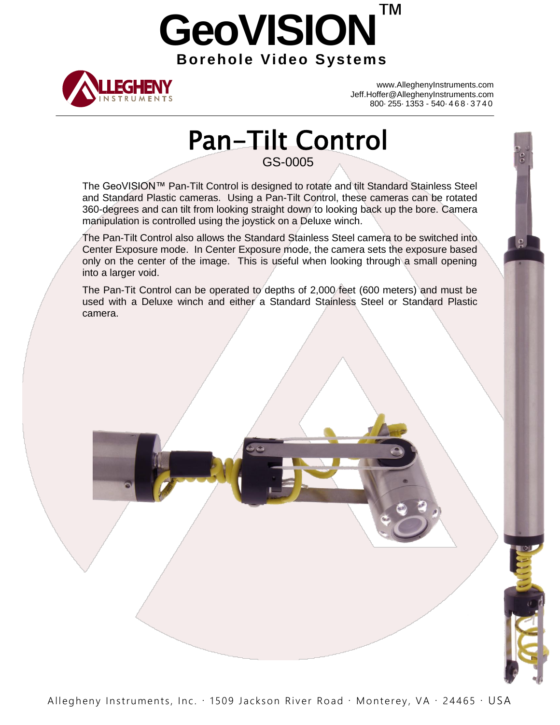# **GeoVISION**™ **Borehole Video Systems**



www.AlleghenyInstruments.com Jeff.Hoffer@AlleghenyInstruments.com 800· 255· 1353 - 540· 4 6 8 · 3 7 4 0

 $\frac{\rho}{\rho}$ 

## Pan-Tilt Control GS-0005

The GeoVISION™ Pan-Tilt Control is designed to rotate and tilt Standard Stainless Steel and Standard Plastic cameras. Using a Pan-Tilt Control, these cameras can be rotated 360-degrees and can tilt from looking straight down to looking back up the bore. Camera manipulation is controlled using the joystick on a Deluxe winch.

The Pan-Tilt Control also allows the Standard Stainless Steel camera to be switched into Center Exposure mode. In Center Exposure mode, the camera sets the exposure based only on the center of the image. This is useful when looking through a small opening into a larger void.

The Pan-Tit Control can be operated to depths of 2,000 feet (600 meters) and must be used with a Deluxe winch and either a Standard Stainless Steel or Standard Plastic camera.